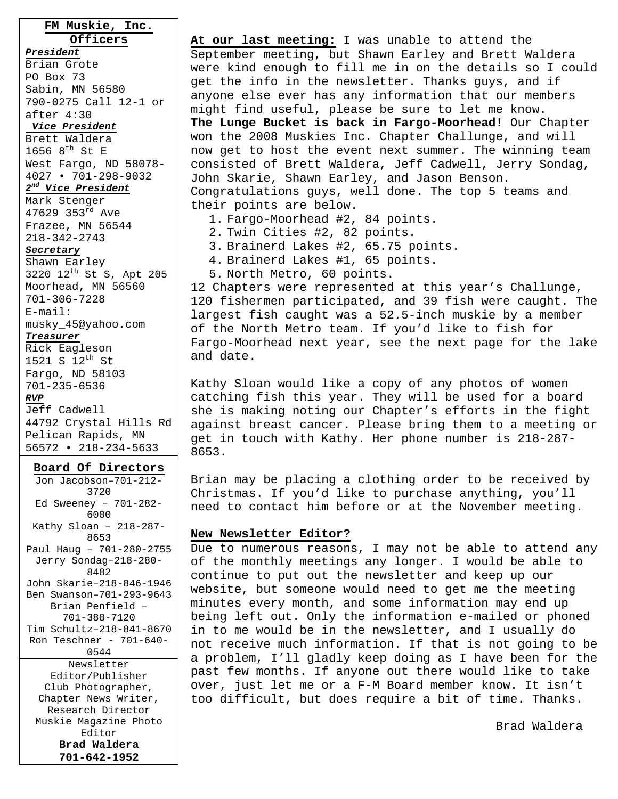**FM Muskie, Inc. Officers** *President* Brian Grote PO Box 73 Sabin, MN 56580 790-0275 Call 12-1 or after 4:30 *Vice President* Brett Waldera 1656  $8^{th}$  St E West Fargo, ND 58078- 4027 • 701-298-9032 *2nd Vice President* Mark Stenger 47629 353 $^{rd}$  Ave Frazee, MN 56544 218-342-2743 *Secretary* Shawn Earley 3220 12th St S, Apt 205 Moorhead, MN 56560 701-306-7228 E-mail: musky\_45@yahoo.com *Treasurer* Rick Eagleson 1521 S 12<sup>th</sup> St Fargo, ND 58103 701-235-6536 *RVP* Jeff Cadwell 44792 Crystal Hills Rd Pelican Rapids, MN

#### **Board Of Directors**

56572 • 218-234-5633

Jon Jacobson–701-212- 3720 Ed Sweeney – 701-282- 6000 Kathy Sloan – 218-287- 8653 Paul Haug – 701-280-2755 Jerry Sondag–218-280- 8482 John Skarie–218-846-1946 Ben Swanson–701-293-9643 Brian Penfield – 701-388-7120 Tim Schultz–218-841-8670 Ron Teschner - 701-640- 0544 Newsletter Editor/Publisher Club Photographer, Chapter News Writer, Research Director Muskie Magazine Photo Editor

> **Brad Waldera 701-642-1952**

**At our last meeting:** I was unable to attend the September meeting, but Shawn Earley and Brett Waldera were kind enough to fill me in on the details so I could get the info in the newsletter. Thanks guys, and if anyone else ever has any information that our members might find useful, please be sure to let me know. **The Lunge Bucket is back in Fargo-Moorhead!** Our Chapter won the 2008 Muskies Inc. Chapter Challunge, and will now get to host the event next summer. The winning team consisted of Brett Waldera, Jeff Cadwell, Jerry Sondag, John Skarie, Shawn Earley, and Jason Benson. Congratulations guys, well done. The top 5 teams and their points are below. 1. Fargo-Moorhead #2, 84 points.

- 2. Twin Cities #2, 82 points.
- 3. Brainerd Lakes #2, 65.75 points.
- 4. Brainerd Lakes #1, 65 points.
- 5. North Metro, 60 points.

12 Chapters were represented at this year's Challunge, 120 fishermen participated, and 39 fish were caught. The largest fish caught was a 52.5-inch muskie by a member of the North Metro team. If you'd like to fish for Fargo-Moorhead next year, see the next page for the lake and date.

Kathy Sloan would like a copy of any photos of women catching fish this year. They will be used for a board she is making noting our Chapter's efforts in the fight against breast cancer. Please bring them to a meeting or get in touch with Kathy. Her phone number is 218-287- 8653.

Brian may be placing a clothing order to be received by Christmas. If you'd like to purchase anything, you'll need to contact him before or at the November meeting.

#### **New Newsletter Editor?**

Due to numerous reasons, I may not be able to attend any of the monthly meetings any longer. I would be able to continue to put out the newsletter and keep up our website, but someone would need to get me the meeting minutes every month, and some information may end up being left out. Only the information e-mailed or phoned in to me would be in the newsletter, and I usually do not receive much information. If that is not going to be a problem, I'll gladly keep doing as I have been for the past few months. If anyone out there would like to take over, just let me or a F-M Board member know. It isn't too difficult, but does require a bit of time. Thanks.

Brad Waldera